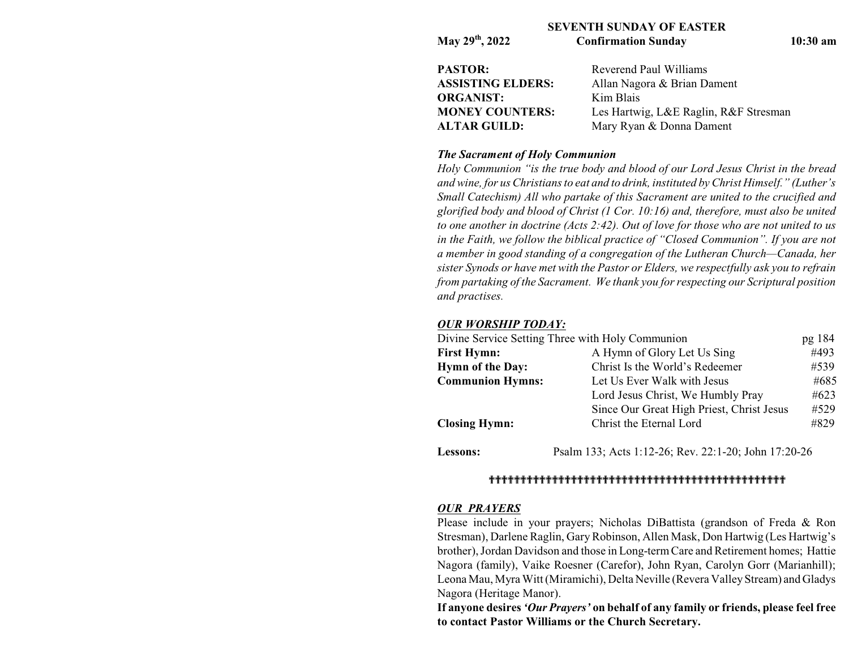### **SEVENTH SUNDAY OF EASTER**

| May 29th, 2022           | <b>Confirmation Sunday</b>            | $10:30$ am |  |
|--------------------------|---------------------------------------|------------|--|
| PASTOR:                  | Reverend Paul Williams                |            |  |
| <b>ASSISTING ELDERS:</b> | Allan Nagora & Brian Dament           |            |  |
| ORGANIST:                | Kim Blais                             |            |  |
| <b>MONEY COUNTERS:</b>   | Les Hartwig, L&E Raglin, R&F Stresman |            |  |
| <b>ALTAR GUILD:</b>      | Mary Ryan & Donna Dament              |            |  |

### *The Sacrament of Holy Communion*

*Holy Communion "is the true body and blood of our Lord Jesus Christ in the bread and wine, for us Christians to eat and to drink, instituted by Christ Himself." (Luther's Small Catechism) All who partake of this Sacrament are united to the crucified and glorified body and blood of Christ (1 Cor. 10:16) and, therefore, must also be united to one another in doctrine (Acts 2:42). Out of love for those who are not united to us in the Faith, we follow the biblical practice of "Closed Communion". If you are not a member in good standing of a congregation of the Lutheran Church—Canada, her sister Synods or have met with the Pastor or Elders, we respectfully ask you to refrain from partaking of the Sacrament. We thank you for respecting our Scriptural position and practises.*

### *OUR WORSHIP TODAY:*

| Divine Service Setting Three with Holy Communion |                                                      | pg 184 |
|--------------------------------------------------|------------------------------------------------------|--------|
| <b>First Hymn:</b>                               | #493<br>A Hymn of Glory Let Us Sing                  |        |
| <b>Hymn of the Day:</b>                          | Christ Is the World's Redeemer                       | #539   |
| <b>Communion Hymns:</b>                          | Let Us Ever Walk with Jesus                          | #685   |
|                                                  | Lord Jesus Christ, We Humbly Pray                    | #623   |
|                                                  | Since Our Great High Priest, Christ Jesus            | #529   |
| <b>Closing Hymn:</b>                             | Christ the Eternal Lord                              | #829   |
| Lessons:                                         | Psalm 133; Acts 1:12-26; Rev. 22:1-20; John 17:20-26 |        |

### ```````````````````````````````````````````````

### *OUR PRAYERS*

Please include in your prayers; Nicholas DiBattista (grandson of Freda & Ron Stresman), Darlene Raglin, GaryRobinson, Allen Mask, Don Hartwig (Les Hartwig's brother), Jordan Davidson and those in Long-termCare and Retirement homes; Hattie Nagora (family), Vaike Roesner (Carefor), John Ryan, Carolyn Gorr (Marianhill); Leona Mau, Myra Witt(Miramichi), Delta Neville (Revera ValleyStream) and Gladys Nagora (Heritage Manor).

**If anyone desires** *'Our Prayers'* **on behalf of any family or friends, please feel free to contact Pastor Williams or the Church Secretary.**